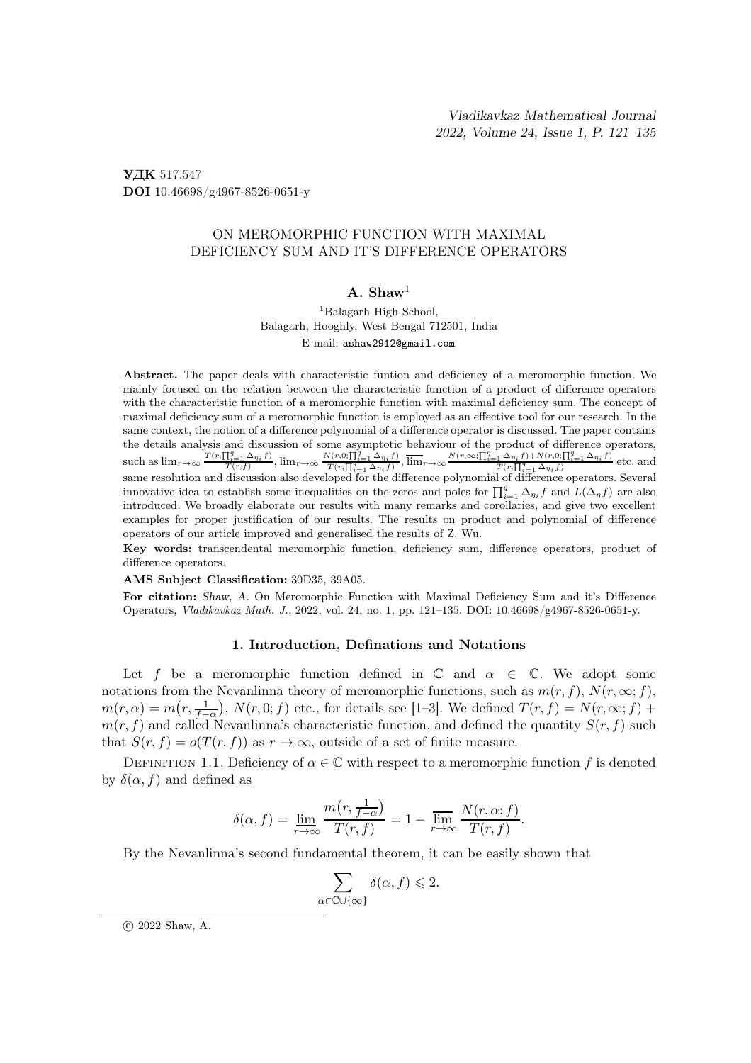УДК 517.547 DOI 10.46698/g4967-8526-0651-y

# ON MEROMORPHIC FUNCTION WITH MAXIMAL DEFICIENCY SUM AND IT'S DIFFERENCE OPERATORS

## $A.$  Shaw<sup>1</sup>

<sup>1</sup>Balagarh High School, Balagarh, Hooghly, West Bengal 712501, India E-mail: ashaw2912@gmail.com

Abstract. The paper deals with characteristic funtion and deficiency of a meromorphic function. We mainly focused on the relation between the characteristic function of a product of difference operators with the characteristic function of a meromorphic function with maximal deficiency sum. The concept of maximal deficiency sum of a meromorphic function is employed as an effective tool for our research. In the same context, the notion of a difference polynomial of a difference operator is discussed. The paper contains the details analysis and discussion of some asymptotic behaviour of the product of difference operators, such as  $\lim_{r\to\infty} \frac{T(r,\prod_{i=1}^q \Delta_{\eta_i}f)}{T(r,f)}$  $\frac{\prod_{i=1}^q \Delta_{\eta_i} f}{T(r,f)}$ ,  $\lim_{r\to\infty} \frac{N(r,0; \prod_{i=1}^q \Delta_{\eta_i} f)}{T(r, \prod_{i=1}^q \Delta_{\eta_i} f)}$ ,  $\overline{\lim}_{r\to\infty} \frac{N(r,\infty; \prod_{i=1}^q \Delta_{\eta_i} f) + N(r,0; \prod_{i=1}^q \Delta_{\eta_i} f)}{T(r, \prod_{i=1}^q \Delta_{\eta_i} f)}$  etc. and same resolution and discussion also developed for the difference polynomial of difference operators. Several innovative idea to establish some inequalities on the zeros and poles for  $\prod_{i=1}^q \Delta_{\eta_i} f$  and  $L(\Delta_\eta f)$  are also introduced. We broadly elaborate our results with many remarks and corollaries, and give two excellent examples for proper justification of our results. The results on product and polynomial of difference operators of our article improved and generalised the results of Z. Wu.

Key words: transcendental meromorphic function, deficiency sum, difference operators, product of difference operators.

AMS Subject Classification: 30D35, 39A05.

For citation: Shaw, A. On Meromorphic Function with Maximal Deficiency Sum and it's Difference Operators, Vladikavkaz Math. J., 2022, vol. 24, no. 1, pp. 121–135. DOI: 10.46698/g4967-8526-0651-y.

### 1. Introduction, Definations and Notations

Let f be a meromorphic function defined in  $\mathbb C$  and  $\alpha \in \mathbb C$ . We adopt some notations from the Nevanlinna theory of meromorphic functions, such as  $m(r, f)$ ,  $N(r, \infty; f)$ ,  $m(r, \alpha) = m(r, \frac{1}{f-\alpha})$ ,  $N(r, 0; f)$  etc., for details see [1–3]. We defined  $T(r, f) = N(r, \infty; f) +$  $m(r, f)$  and called Nevanlinna's characteristic function, and defined the quantity  $S(r, f)$  such that  $S(r, f) = o(T(r, f))$  as  $r \to \infty$ , outside of a set of finite measure.

DEFINITION 1.1. Deficiency of  $\alpha \in \mathbb{C}$  with respect to a meromorphic function f is denoted by  $\delta(\alpha, f)$  and defined as

$$
\delta(\alpha, f) = \lim_{r \to \infty} \frac{m(r, \frac{1}{f - \alpha})}{T(r, f)} = 1 - \overline{\lim_{r \to \infty}} \frac{N(r, \alpha; f)}{T(r, f)}.
$$

By the Nevanlinna's second fundamental theorem, it can be easily shown that

$$
\sum_{\alpha \in \mathbb{C} \cup \{\infty\}} \delta(\alpha, f) \leqslant 2.
$$

c 2022 Shaw, A.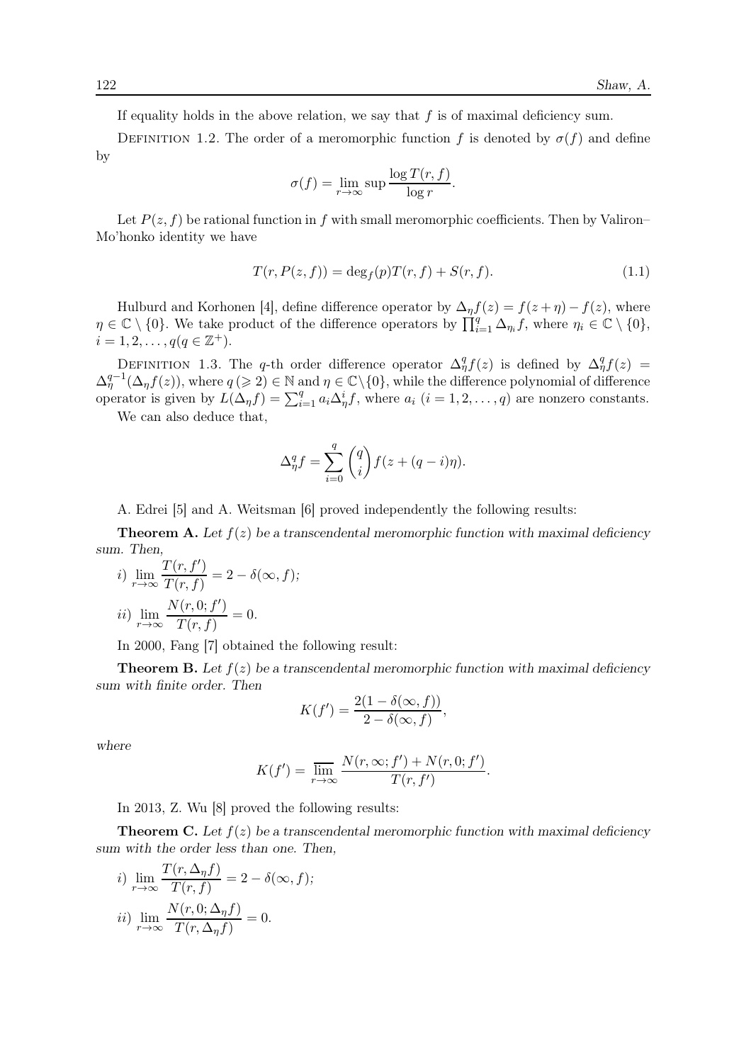If equality holds in the above relation, we say that  $f$  is of maximal deficiency sum.

DEFINITION 1.2. The order of a meromorphic function f is denoted by  $\sigma(f)$  and define by

$$
\sigma(f) = \lim_{r \to \infty} \sup \frac{\log T(r, f)}{\log r}.
$$

Let  $P(z, f)$  be rational function in f with small meromorphic coefficients. Then by Valiron– Mo'honko identity we have

$$
T(r, P(z, f)) = \deg_f(p)T(r, f) + S(r, f). \tag{1.1}
$$

Hulburd and Korhonen [4], define difference operator by  $\Delta_{\eta} f(z) = f(z + \eta) - f(z)$ , where  $\eta \in \mathbb{C} \setminus \{0\}$ . We take product of the difference operators by  $\prod_{i=1}^{q} \Delta_{\eta_i} f$ , where  $\eta_i \in \mathbb{C} \setminus \{0\}$ ,  $i = 1, 2, \ldots, q(q \in \mathbb{Z}^+).$ 

DEFINITION 1.3. The q-th order difference operator  $\Delta_{\eta}^{q} f(z)$  is defined by  $\Delta_{\eta}^{q} f(z)$  =  $\Delta_{\eta}^{q-1}(\Delta_{\eta}f(z))$ , where  $q \geqslant 2$ )  $\in \mathbb{N}$  and  $\eta \in \mathbb{C}\setminus\{0\}$ , while the difference polynomial of difference operator is given by  $\overline{L}(\Delta_\eta f) = \sum_{i=1}^q a_i \Delta_\eta^i f$ , where  $a_i$   $(i = 1, 2, ..., q)$  are nonzero constants.

We can also deduce that,

$$
\Delta_{\eta}^q f = \sum_{i=0}^q \binom{q}{i} f(z + (q - i)\eta).
$$

A. Edrei [5] and A. Weitsman [6] proved independently the following results:

**Theorem A.** Let  $f(z)$  be a transcendental meromorphic function with maximal deficiency sum. Then,

*i*) 
$$
\lim_{r \to \infty} \frac{T(r, f')}{T(r, f)} = 2 - \delta(\infty, f);
$$
  
*ii*) 
$$
\lim_{r \to \infty} \frac{N(r, 0; f')}{T(r, f)} = 0.
$$

In 2000, Fang [7] obtained the following result:

**Theorem B.** Let  $f(z)$  be a transcendental meromorphic function with maximal deficiency sum with finite order. Then

$$
K(f') = \frac{2(1 - \delta(\infty, f))}{2 - \delta(\infty, f)},
$$

where

$$
K(f') = \overline{\lim}_{r \to \infty} \frac{N(r, \infty; f') + N(r, 0; f')}{T(r, f')}.
$$

In 2013, Z. Wu [8] proved the following results:

**Theorem C.** Let  $f(z)$  be a transcendental meromorphic function with maximal deficiency sum with the order less than one. Then,

*i)* 
$$
\lim_{r \to \infty} \frac{T(r, \Delta_{\eta} f)}{T(r, f)} = 2 - \delta(\infty, f);
$$
  
*ii)* 
$$
\lim_{r \to \infty} \frac{N(r, 0; \Delta_{\eta} f)}{T(r, \Delta_{\eta} f)} = 0.
$$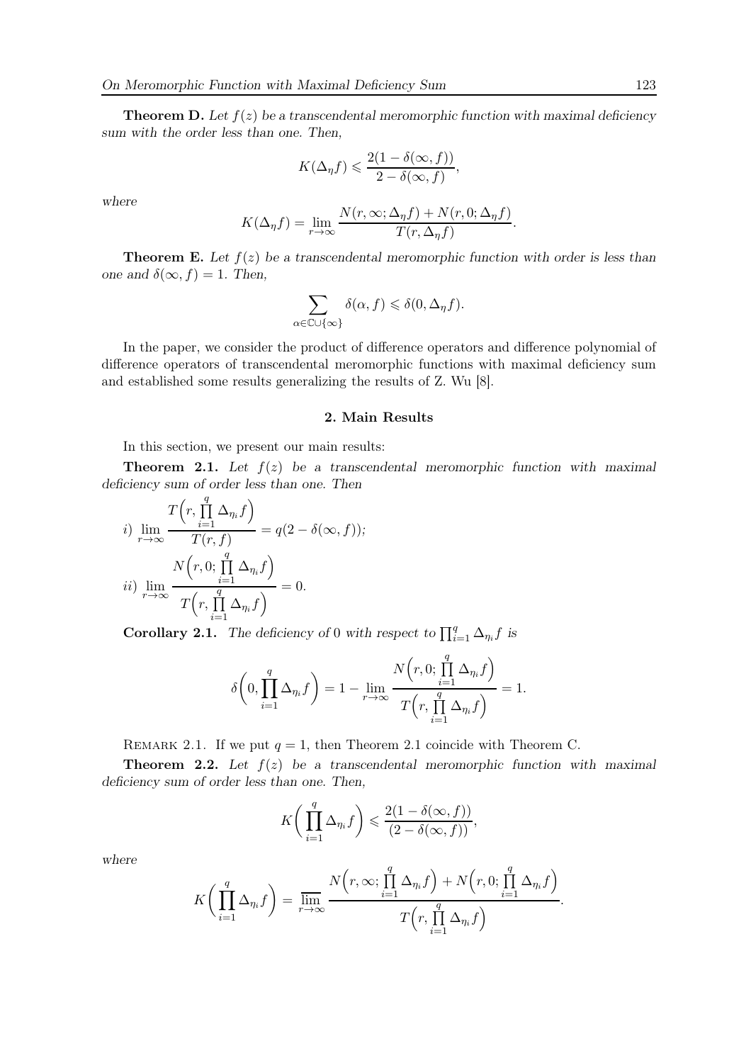**Theorem D.** Let  $f(z)$  be a transcendental meromorphic function with maximal deficiency sum with the order less than one. Then,

$$
K(\Delta_{\eta} f) \leqslant \frac{2(1-\delta(\infty, f))}{2-\delta(\infty, f)},
$$

where

$$
K(\Delta_{\eta}f) = \lim_{r \to \infty} \frac{N(r, \infty; \Delta_{\eta}f) + N(r, 0; \Delta_{\eta}f)}{T(r, \Delta_{\eta}f)}
$$

.

**Theorem E.** Let  $f(z)$  be a transcendental meromorphic function with order is less than one and  $\delta(\infty, f) = 1$ . Then,

$$
\sum_{\alpha \in \mathbb{C} \cup \{\infty\}} \delta(\alpha, f) \leq \delta(0, \Delta_{\eta} f).
$$

In the paper, we consider the product of difference operators and difference polynomial of difference operators of transcendental meromorphic functions with maximal deficiency sum and established some results generalizing the results of Z. Wu [8].

### 2. Main Results

In this section, we present our main results:

**Theorem 2.1.** Let  $f(z)$  be a transcendental meromorphic function with maximal deficiency sum of order less than one. Then

$$
i) \lim_{r \to \infty} \frac{T(r, \prod_{i=1}^{q} \Delta_{\eta_i} f)}{T(r, f)} = q(2 - \delta(\infty, f));
$$
  

$$
ii) \lim_{r \to \infty} \frac{N(r, 0; \prod_{i=1}^{q} \Delta_{\eta_i} f)}{T(r, \prod_{i=1}^{q} \Delta_{\eta_i} f)} = 0.
$$

**Corollary 2.1.** The deficiency of 0 with respect to  $\prod_{i=1}^{q} \Delta_{\eta_i} f$  is

$$
\delta\bigg(0,\prod_{i=1}^q\Delta_{\eta_i}f\bigg)=1-\lim_{r\to\infty}\frac{N\Big(r,0;\prod_{i=1}^q\Delta_{\eta_i}f\Big)}{T\Big(r,\prod_{i=1}^q\Delta_{\eta_i}f\Big)}=1.
$$

REMARK 2.1. If we put  $q = 1$ , then Theorem 2.1 coincide with Theorem C.

**Theorem 2.2.** Let  $f(z)$  be a transcendental meromorphic function with maximal deficiency sum of order less than one. Then,

$$
K\bigg(\prod_{i=1}^q \Delta_{\eta_i} f\bigg) \leqslant \frac{2(1-\delta(\infty,f))}{(2-\delta(\infty,f))},
$$

where

$$
K\bigg(\prod_{i=1}^q \Delta_{\eta_i} f\bigg) = \overline{\lim_{r \to \infty}} \frac{N(r, \infty; \prod_{i=1}^q \Delta_{\eta_i} f) + N(r, 0; \prod_{i=1}^q \Delta_{\eta_i} f)}{T(r, \prod_{i=1}^q \Delta_{\eta_i} f)}.
$$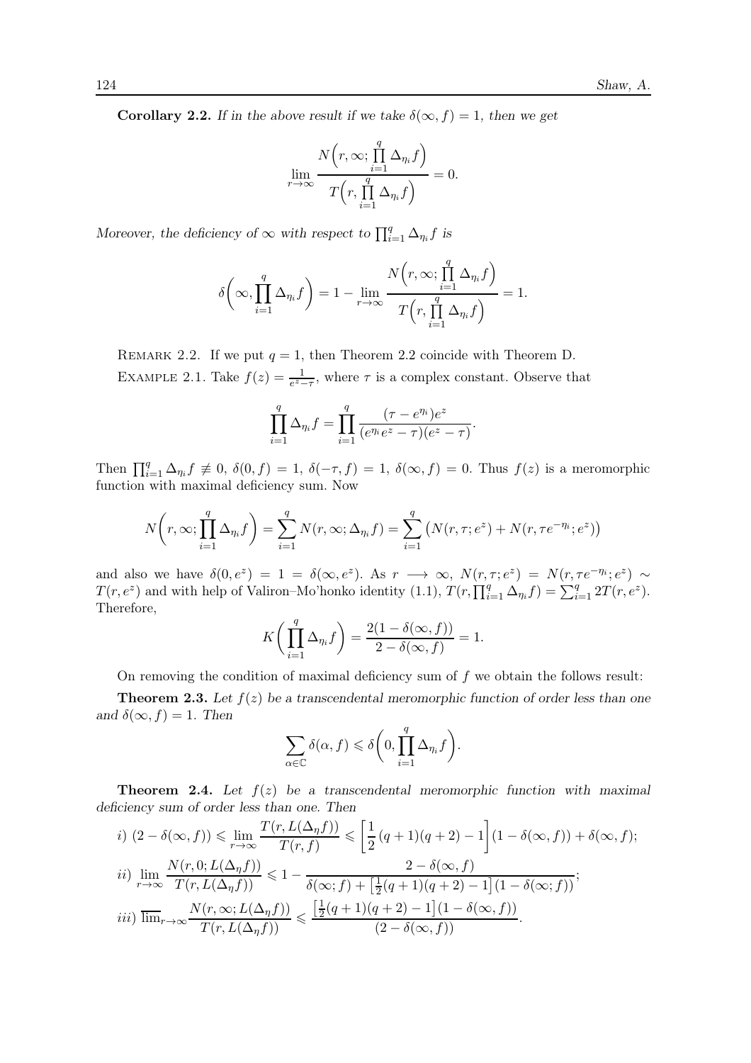**Corollary 2.2.** If in the above result if we take  $\delta(\infty, f) = 1$ , then we get

$$
\lim_{r \to \infty} \frac{N(r, \infty; \prod_{i=1}^{q} \Delta_{\eta_i} f)}{T(r, \prod_{i=1}^{q} \Delta_{\eta_i} f)} = 0.
$$

Moreover, the deficiency of  $\infty$  with respect to  $\prod_{i=1}^{q} \Delta_{\eta_i} f$  is

$$
\delta\bigg(\infty, \prod_{i=1}^q \Delta_{\eta_i} f\bigg) = 1 - \lim_{r \to \infty} \frac{N\Big(r, \infty; \prod_{i=1}^q \Delta_{\eta_i} f\Big)}{T\Big(r, \prod_{i=1}^q \Delta_{\eta_i} f\Big)} = 1.
$$

REMARK 2.2. If we put  $q = 1$ , then Theorem 2.2 coincide with Theorem D.

EXAMPLE 2.1. Take  $f(z) = \frac{1}{e^z - \tau}$ , where  $\tau$  is a complex constant. Observe that

$$
\prod_{i=1}^{q} \Delta_{\eta_i} f = \prod_{i=1}^{q} \frac{(\tau - e^{\eta_i})e^z}{(e^{\eta_i}e^z - \tau)(e^z - \tau)}.
$$

Then  $\prod_{i=1}^q \Delta_{\eta_i} f \neq 0$ ,  $\delta(0, f) = 1$ ,  $\delta(-\tau, f) = 1$ ,  $\delta(\infty, f) = 0$ . Thus  $f(z)$  is a meromorphic function with maximal deficiency sum. Now

$$
N\left(r, \infty; \prod_{i=1}^{q} \Delta_{\eta_i} f\right) = \sum_{i=1}^{q} N(r, \infty; \Delta_{\eta_i} f) = \sum_{i=1}^{q} \left(N(r, \tau; e^z) + N(r, \tau e^{-\eta_i}; e^z)\right)
$$

and also we have  $\delta(0, e^z) = 1 = \delta(\infty, e^z)$ . As  $r \to \infty$ ,  $N(r, \tau; e^z) = N(r, \tau e^{-\eta_i}; e^z) \sim$  $T(r, e^z)$  and with help of Valiron–Mo'honko identity (1.1),  $T(r, \prod_{i=1}^q \Delta_{\eta_i} f) = \sum_{i=1}^q 2T(r, e^z)$ . Therefore,

$$
K\bigg(\prod_{i=1}^q \Delta_{\eta_i} f\bigg) = \frac{2(1-\delta(\infty,f))}{2-\delta(\infty,f)} = 1.
$$

On removing the condition of maximal deficiency sum of  $f$  we obtain the follows result:

**Theorem 2.3.** Let  $f(z)$  be a transcendental meromorphic function of order less than one and  $\delta(\infty, f) = 1$ . Then

$$
\sum_{\alpha \in \mathbb{C}} \delta(\alpha, f) \leq \delta \bigg( 0, \prod_{i=1}^{q} \Delta_{\eta_i} f \bigg).
$$

**Theorem 2.4.** Let  $f(z)$  be a transcendental meromorphic function with maximal deficiency sum of order less than one. Then

$$
i) \ (2 - \delta(\infty, f)) \leqslant \lim_{r \to \infty} \frac{T(r, L(\Delta_{\eta} f))}{T(r, f)} \leqslant \left[ \frac{1}{2} (q + 1)(q + 2) - 1 \right] (1 - \delta(\infty, f)) + \delta(\infty, f);
$$
\n
$$
ii) \lim_{r \to \infty} \frac{N(r, 0; L(\Delta_{\eta} f))}{T(r, L(\Delta_{\eta} f))} \leqslant 1 - \frac{2 - \delta(\infty, f)}{\delta(\infty; f) + \left[ \frac{1}{2} (q + 1)(q + 2) - 1 \right] (1 - \delta(\infty; f))};
$$
\n
$$
iii) \ \lim_{r \to \infty} \frac{N(r, \infty; L(\Delta_{\eta} f))}{T(r, L(\Delta_{\eta} f))} \leqslant \frac{\left[ \frac{1}{2} (q + 1)(q + 2) - 1 \right] (1 - \delta(\infty, f))}{(2 - \delta(\infty, f))}.
$$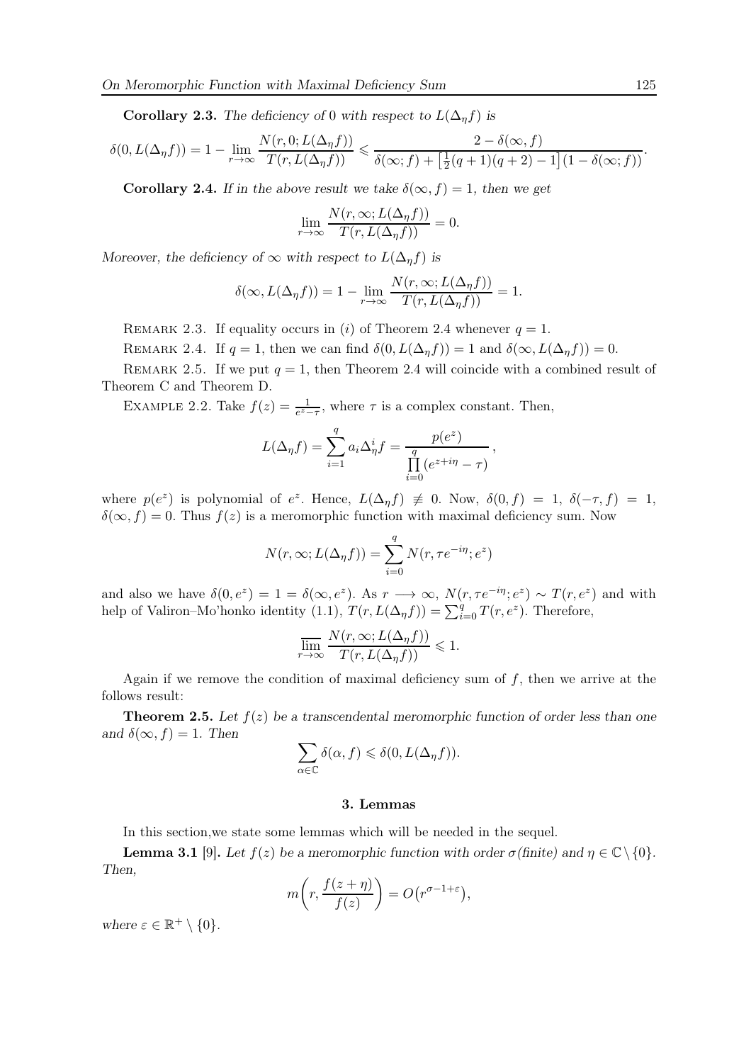**Corollary 2.3.** The deficiency of 0 with respect to  $L(\Delta<sub>η</sub>f)$  is

$$
\delta(0, L(\Delta_{\eta}f)) = 1 - \lim_{r \to \infty} \frac{N(r, 0; L(\Delta_{\eta}f))}{T(r, L(\Delta_{\eta}f))} \leq \frac{2 - \delta(\infty, f)}{\delta(\infty; f) + \left[\frac{1}{2}(q+1)(q+2) - 1\right](1 - \delta(\infty; f))}.
$$

**Corollary 2.4.** If in the above result we take  $\delta(\infty, f) = 1$ , then we get

$$
\lim_{r \to \infty} \frac{N(r, \infty; L(\Delta_{\eta} f))}{T(r, L(\Delta_{\eta} f))} = 0.
$$

Moreover, the deficiency of  $\infty$  with respect to  $L(\Delta_n f)$  is

$$
\delta(\infty, L(\Delta_{\eta} f)) = 1 - \lim_{r \to \infty} \frac{N(r, \infty; L(\Delta_{\eta} f))}{T(r, L(\Delta_{\eta} f))} = 1.
$$

REMARK 2.3. If equality occurs in (i) of Theorem 2.4 whenever  $q = 1$ .

REMARK 2.4. If  $q = 1$ , then we can find  $\delta(0, L(\Delta_{\eta} f)) = 1$  and  $\delta(\infty, L(\Delta_{\eta} f)) = 0$ .

REMARK 2.5. If we put  $q = 1$ , then Theorem 2.4 will coincide with a combined result of Theorem C and Theorem D.

EXAMPLE 2.2. Take  $f(z) = \frac{1}{e^z - \tau}$ , where  $\tau$  is a complex constant. Then,

$$
L(\Delta_{\eta}f) = \sum_{i=1}^{q} a_i \Delta_{\eta}^{i} f = \frac{p(e^z)}{\prod_{i=0}^{q} (e^{z+i\eta} - \tau)},
$$

where  $p(e^z)$  is polynomial of  $e^z$ . Hence,  $L(\Delta_\eta f) \neq 0$ . Now,  $\delta(0, f) = 1$ ,  $\delta(-\tau, f) = 1$ ,  $\delta(\infty, f) = 0$ . Thus  $f(z)$  is a meromorphic function with maximal deficiency sum. Now

$$
N(r, \infty; L(\Delta_{\eta} f)) = \sum_{i=0}^{q} N(r, \tau e^{-i\eta}; e^{z})
$$

and also we have  $\delta(0, e^z) = 1 = \delta(\infty, e^z)$ . As  $r \to \infty$ ,  $N(r, \tau e^{-i\eta}; e^z) \sim T(r, e^z)$  and with help of Valiron–Mo'honko identity  $(1.1)$ ,  $T(r, L(\Delta_{\eta} f)) = \sum_{i=0}^{q} T(r, e^{z})$ . Therefore,

$$
\overline{\lim_{r\to\infty}}\,\frac{N(r,\infty;L(\Delta_\eta f))}{T(r,L(\Delta_\eta f))}\leqslant 1.
$$

Again if we remove the condition of maximal deficiency sum of  $f$ , then we arrive at the follows result:

**Theorem 2.5.** Let  $f(z)$  be a transcendental meromorphic function of order less than one and  $\delta(\infty, f) = 1$ . Then

$$
\sum_{\alpha \in \mathbb{C}} \delta(\alpha, f) \leq \delta(0, L(\Delta_{\eta} f)).
$$

### 3. Lemmas

In this section,we state some lemmas which will be needed in the sequel.

**Lemma 3.1** [9]. Let  $f(z)$  be a meromorphic function with order  $\sigma$  (finite) and  $\eta \in \mathbb{C} \setminus \{0\}$ . Then,

$$
m\bigg(r,\frac{f(z+\eta)}{f(z)}\bigg) = O\big(r^{\sigma-1+\varepsilon}\big),\,
$$

where  $\varepsilon \in \mathbb{R}^+ \setminus \{0\}.$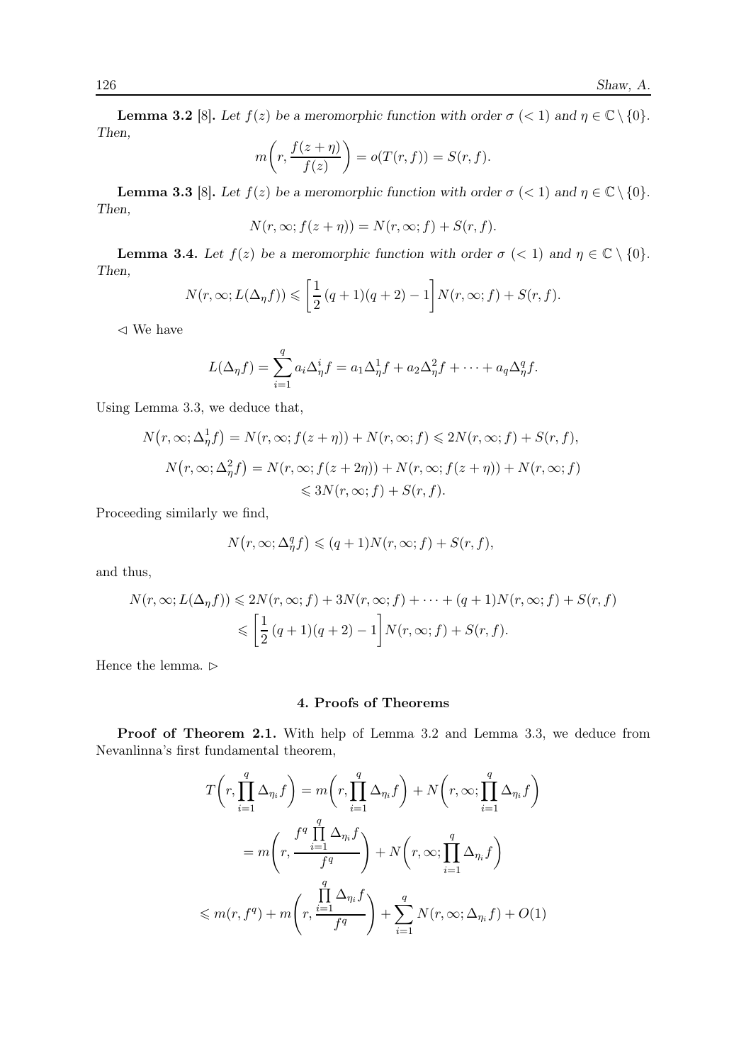**Lemma 3.2** [8]. Let  $f(z)$  be a meromorphic function with order  $\sigma$  (< 1) and  $\eta \in \mathbb{C} \setminus \{0\}$ . Then,

$$
m\bigg(r,\frac{f(z+\eta)}{f(z)}\bigg) = o(T(r,f)) = S(r,f).
$$

**Lemma 3.3** [8]. Let  $f(z)$  be a meromorphic function with order  $\sigma$  (< 1) and  $\eta \in \mathbb{C} \setminus \{0\}$ . Then,

$$
N(r, \infty; f(z + \eta)) = N(r, \infty; f) + S(r, f).
$$

**Lemma 3.4.** Let  $f(z)$  be a meromorphic function with order  $\sigma$  (< 1) and  $\eta \in \mathbb{C} \setminus \{0\}$ . Then,

$$
N(r,\infty;L(\Delta_\eta f))\leqslant \left[\frac{1}{2}(q+1)(q+2)-1\right]N(r,\infty;f)+S(r,f).
$$

⊳ We have

$$
L(\Delta_{\eta}f) = \sum_{i=1}^{q} a_i \Delta_{\eta}^{i} f = a_1 \Delta_{\eta}^{1} f + a_2 \Delta_{\eta}^{2} f + \dots + a_q \Delta_{\eta}^{q} f.
$$

Using Lemma 3.3, we deduce that,

$$
N(r, \infty; \Delta_{\eta}^1 f) = N(r, \infty; f(z + \eta)) + N(r, \infty; f) \le 2N(r, \infty; f) + S(r, f),
$$
  

$$
N(r, \infty; \Delta_{\eta}^2 f) = N(r, \infty; f(z + 2\eta)) + N(r, \infty; f(z + \eta)) + N(r, \infty; f)
$$
  

$$
\le 3N(r, \infty; f) + S(r, f).
$$

Proceeding similarly we find,

$$
N(r,\infty; \Delta_\eta^q f) \leqslant (q+1) N(r,\infty;f) + S(r,f),
$$

and thus,

$$
N(r, \infty; L(\Delta_{\eta} f)) \leqslant 2N(r, \infty; f) + 3N(r, \infty; f) + \dots + (q+1)N(r, \infty; f) + S(r, f)
$$
  

$$
\leqslant \left[\frac{1}{2}(q+1)(q+2) - 1\right]N(r, \infty; f) + S(r, f).
$$

Hence the lemma.  $\vartriangleright$ 

## 4. Proofs of Theorems

Proof of Theorem 2.1. With help of Lemma 3.2 and Lemma 3.3, we deduce from Nevanlinna's first fundamental theorem,

$$
T\left(r, \prod_{i=1}^{q} \Delta_{\eta_i} f\right) = m\left(r, \prod_{i=1}^{q} \Delta_{\eta_i} f\right) + N\left(r, \infty; \prod_{i=1}^{q} \Delta_{\eta_i} f\right)
$$

$$
= m\left(r, \frac{f^q \prod_{i=1}^{q} \Delta_{\eta_i} f}{f^q}\right) + N\left(r, \infty; \prod_{i=1}^{q} \Delta_{\eta_i} f\right)
$$

$$
\leq m(r, f^q) + m\left(r, \frac{\prod_{i=1}^{q} \Delta_{\eta_i} f}{f^q}\right) + \sum_{i=1}^{q} N(r, \infty; \Delta_{\eta_i} f) + O(1)
$$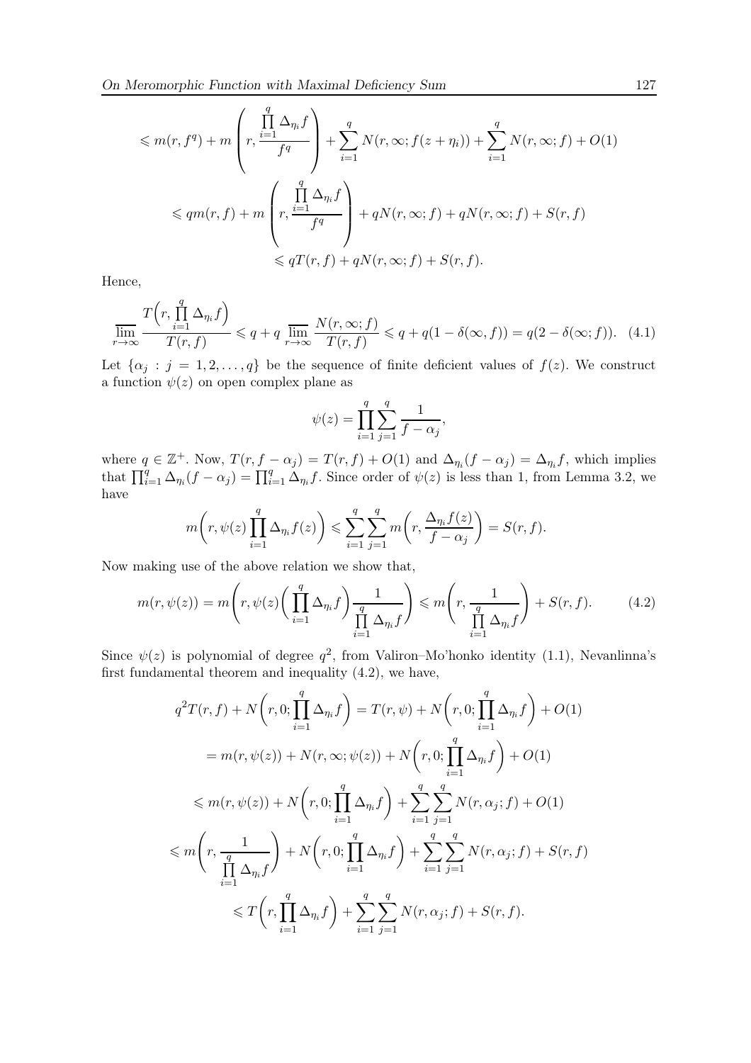$$
\leq m(r, f^q) + m \left( r, \frac{\prod_{i=1}^q \Delta_{\eta_i} f}{f^q} \right) + \sum_{i=1}^q N(r, \infty; f(z + \eta_i)) + \sum_{i=1}^q N(r, \infty; f) + O(1)
$$
  

$$
\leq qm(r, f) + m \left( r, \frac{\prod_{i=1}^q \Delta_{\eta_i} f}{f^q} \right) + qN(r, \infty; f) + qN(r, \infty; f) + S(r, f)
$$
  

$$
\leq qT(r, f) + qN(r, \infty; f) + S(r, f).
$$

Hence,

$$
\overline{\lim}_{r \to \infty} \frac{T\left(r, \prod_{i=1}^{q} \Delta_{\eta_i} f\right)}{T(r, f)} \leq q + q \overline{\lim}_{r \to \infty} \frac{N(r, \infty; f)}{T(r, f)} \leq q + q(1 - \delta(\infty, f)) = q(2 - \delta(\infty; f)). \tag{4.1}
$$

Let  $\{\alpha_j : j = 1, 2, \ldots, q\}$  be the sequence of finite deficient values of  $f(z)$ . We construct a function  $\psi(z)$  on open complex plane as

$$
\psi(z) = \prod_{i=1}^{q} \sum_{j=1}^{q} \frac{1}{f - \alpha_j},
$$

where  $q \in \mathbb{Z}^+$ . Now,  $T(r, f - \alpha_j) = T(r, f) + O(1)$  and  $\Delta_{\eta_i}(f - \alpha_j) = \Delta_{\eta_i} f$ , which implies that  $\prod_{i=1}^q \Delta_{\eta_i}(f - \alpha_j) = \prod_{i=1}^q \Delta_{\eta_i}f$ . Since order of  $\psi(z)$  is less than 1, from Lemma 3.2, we have

$$
m\bigg(r,\psi(z)\prod_{i=1}^q\Delta_{\eta_i}f(z)\bigg)\leqslant \sum_{i=1}^q\sum_{j=1}^q m\bigg(r,\frac{\Delta_{\eta_i}f(z)}{f-\alpha_j}\bigg)=S(r,f).
$$

Now making use of the above relation we show that,

$$
m(r, \psi(z)) = m\left(r, \psi(z) \left(\prod_{i=1}^{q} \Delta_{\eta_i} f\right) \frac{1}{\prod_{i=1}^{q} \Delta_{\eta_i} f}\right) \leq m\left(r, \frac{1}{\prod_{i=1}^{q} \Delta_{\eta_i} f}\right) + S(r, f). \tag{4.2}
$$

Since  $\psi(z)$  is polynomial of degree  $q^2$ , from Valiron–Mo'honko identity (1.1), Nevanlinna's first fundamental theorem and inequality (4.2), we have,

$$
q^{2}T(r, f) + N(r, 0; \prod_{i=1}^{q} \Delta_{\eta_{i}} f) = T(r, \psi) + N(r, 0; \prod_{i=1}^{q} \Delta_{\eta_{i}} f) + O(1)
$$
  
\n
$$
= m(r, \psi(z)) + N(r, \infty; \psi(z)) + N(r, 0; \prod_{i=1}^{q} \Delta_{\eta_{i}} f) + O(1)
$$
  
\n
$$
\leq m(r, \psi(z)) + N(r, 0; \prod_{i=1}^{q} \Delta_{\eta_{i}} f) + \sum_{i=1}^{q} \sum_{j=1}^{q} N(r, \alpha_{j}; f) + O(1)
$$
  
\n
$$
\leq m\left(r, \frac{1}{\prod_{i=1}^{q} \Delta_{\eta_{i}} f}\right) + N(r, 0; \prod_{i=1}^{q} \Delta_{\eta_{i}} f) + \sum_{i=1}^{q} \sum_{j=1}^{q} N(r, \alpha_{j}; f) + S(r, f)
$$
  
\n
$$
\leq T\left(r, \prod_{i=1}^{q} \Delta_{\eta_{i}} f\right) + \sum_{i=1}^{q} \sum_{j=1}^{q} N(r, \alpha_{j}; f) + S(r, f).
$$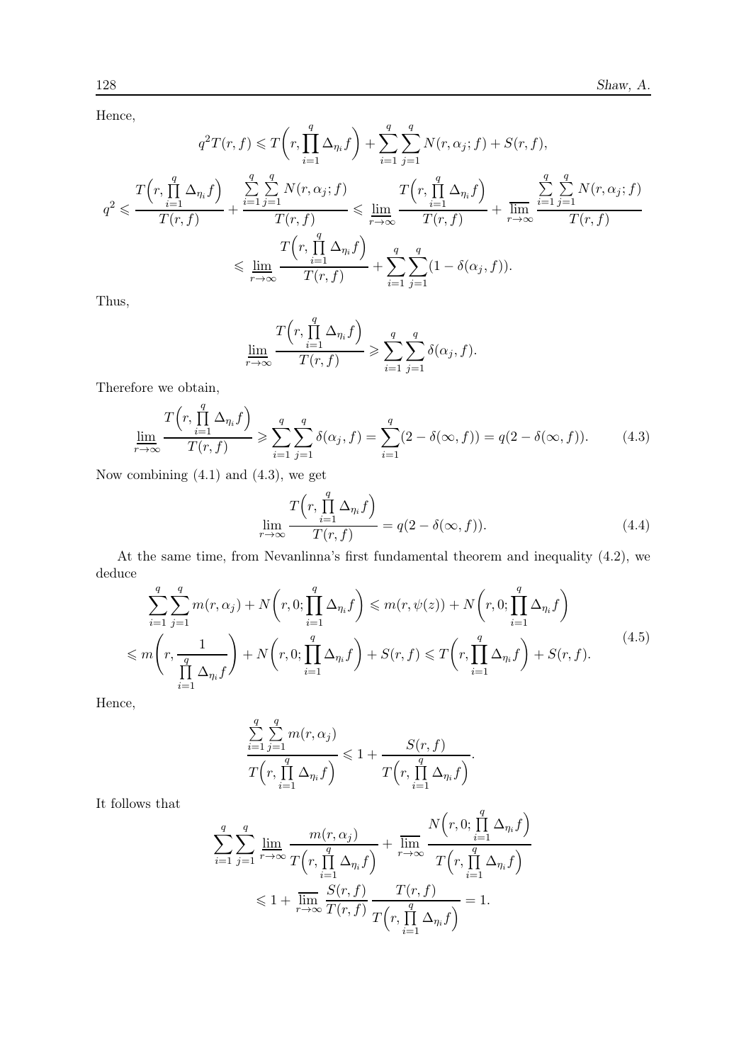Hence,

$$
q^{2}T(r, f) \leq T\left(r, \prod_{i=1}^{q} \Delta_{\eta_{i}}f\right) + \sum_{i=1}^{q} \sum_{j=1}^{q} N(r, \alpha_{j}; f) + S(r, f),
$$
  

$$
q^{2} \leq \frac{T\left(r, \prod_{i=1}^{q} \Delta_{\eta_{i}}f\right)}{T(r, f)} + \frac{\sum_{i=1}^{q} \sum_{j=1}^{q} N(r, \alpha_{j}; f)}{T(r, f)} \leq \lim_{r \to \infty} \frac{T\left(r, \prod_{i=1}^{q} \Delta_{\eta_{i}}f\right)}{T(r, f)} + \frac{\sum_{i=1}^{q} \sum_{j=1}^{q} N(r, \alpha_{j}; f)}{T(r, f)}
$$
  

$$
\leq \lim_{r \to \infty} \frac{T\left(r, \prod_{i=1}^{q} \Delta_{\eta_{i}}f\right)}{T(r, f)} + \sum_{i=1}^{q} \sum_{j=1}^{q} (1 - \delta(\alpha_{j}, f)).
$$

Thus,

$$
\underline{\lim}_{r \to \infty} \frac{T(r, \prod_{i=1}^{q} \Delta_{\eta_i} f)}{T(r, f)} \geqslant \sum_{i=1}^{q} \sum_{j=1}^{q} \delta(\alpha_j, f).
$$

Therefore we obtain,

$$
\underline{\lim}_{r \to \infty} \frac{T\left(r, \prod_{i=1}^{q} \Delta_{\eta_i} f\right)}{T(r, f)} \geqslant \sum_{i=1}^{q} \sum_{j=1}^{q} \delta(\alpha_j, f) = \sum_{i=1}^{q} (2 - \delta(\infty, f)) = q(2 - \delta(\infty, f)). \tag{4.3}
$$

Now combining  $(4.1)$  and  $(4.3)$ , we get

$$
\lim_{r \to \infty} \frac{T\left(r, \prod_{i=1}^{q} \Delta_{\eta_i} f\right)}{T(r, f)} = q(2 - \delta(\infty, f)).
$$
\n(4.4)

At the same time, from Nevanlinna's first fundamental theorem and inequality (4.2), we deduce

$$
\sum_{i=1}^{q} \sum_{j=1}^{q} m(r, \alpha_j) + N(r, 0; \prod_{i=1}^{q} \Delta_{\eta_i} f) \leq m(r, \psi(z)) + N(r, 0; \prod_{i=1}^{q} \Delta_{\eta_i} f)
$$
\n
$$
\leq m \left( r, \frac{1}{\prod_{i=1}^{q} \Delta_{\eta_i} f} \right) + N(r, 0; \prod_{i=1}^{q} \Delta_{\eta_i} f) + S(r, f) \leq T\left( r, \prod_{i=1}^{q} \Delta_{\eta_i} f \right) + S(r, f). \tag{4.5}
$$

Hence,

$$
\frac{\sum\limits_{i=1}^q\sum\limits_{j=1}^q m(r,\alpha_j)}{T\left(r,\prod\limits_{i=1}^q\Delta_{\eta_i}f\right)}\leq 1+\frac{S(r,f)}{T\left(r,\prod\limits_{i=1}^q\Delta_{\eta_i}f\right)}.
$$

It follows that

$$
\sum_{i=1}^{q} \sum_{j=1}^{q} \lim_{r \to \infty} \frac{m(r, \alpha_j)}{T(r, \prod_{i=1}^{q} \Delta_{\eta_i} f)} + \overline{\lim_{r \to \infty}} \frac{N(r, 0; \prod_{i=1}^{q} \Delta_{\eta_i} f)}{T(r, \prod_{i=1}^{q} \Delta_{\eta_i} f)}
$$
  

$$
\leq 1 + \overline{\lim_{r \to \infty}} \frac{S(r, f)}{T(r, f)} \frac{T(r, f)}{T(r, \prod_{i=1}^{q} \Delta_{\eta_i} f)} = 1.
$$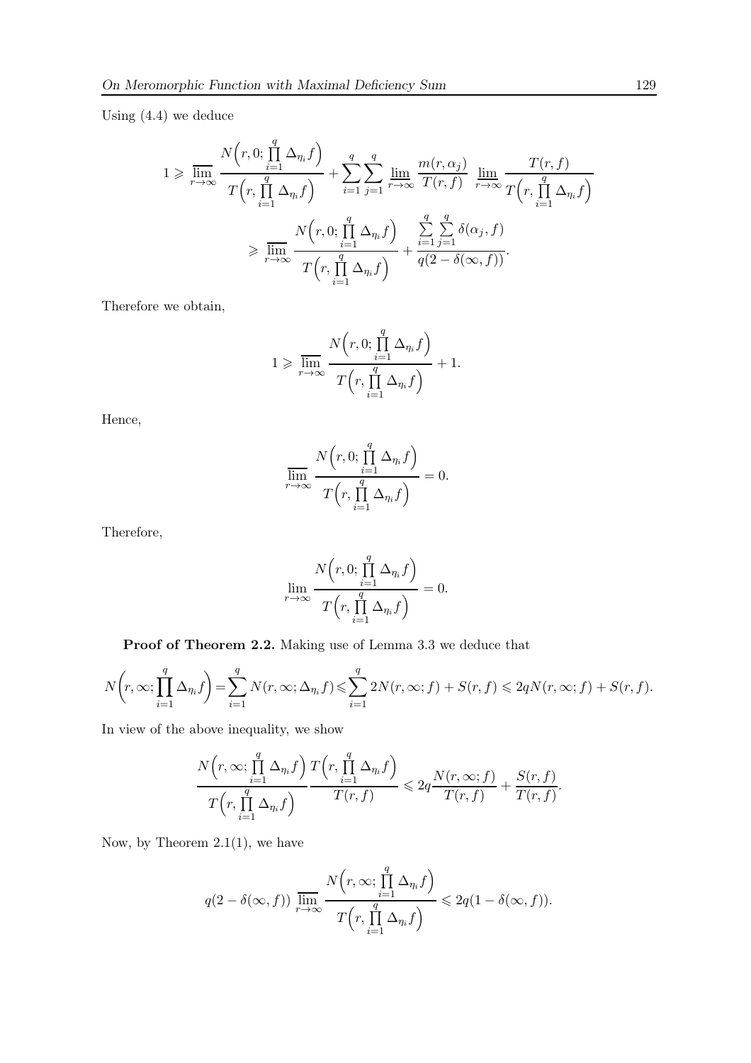Using (4.4) we deduce

$$
1 \geqslant \overline{\lim}_{r \to \infty} \frac{N(r, 0; \prod_{i=1}^{q} \Delta_{\eta_i} f)}{T(r, \prod_{i=1}^{q} \Delta_{\eta_i} f)} + \sum_{i=1}^{q} \sum_{j=1}^{q} \frac{\lim_{r \to \infty} \frac{m(r, \alpha_j)}{T(r, f)}}{T(r, f)} \frac{\lim_{r \to \infty} \frac{T(r, f)}{T(r, \prod_{i=1}^{q} \Delta_{\eta_i} f)}}{T(r, \prod_{i=1}^{q} \Delta_{\eta_i} f)} \geqslant \overline{\lim}_{r \to \infty} \frac{N(r, 0; \prod_{i=1}^{q} \Delta_{\eta_i} f)}{T(r, \prod_{i=1}^{q} \Delta_{\eta_i} f)} + \frac{\sum_{i=1}^{q} \sum_{j=1}^{q} \delta(\alpha_j, f)}{q(2 - \delta(\infty, f))}.
$$

Therefore we obtain,

$$
1 \geqslant \frac{\displaystyle N\Big(r, 0; \prod_{i=1}^q \Delta_{\eta_i} f\Big)}{T\Big(r, \prod_{i=1}^q \Delta_{\eta_i} f\Big)} + 1.
$$

Hence,

$$
\overline{\lim}_{r \to \infty} \frac{N(r, 0; \prod_{i=1}^{q} \Delta_{\eta_i} f)}{T(r, \prod_{i=1}^{q} \Delta_{\eta_i} f)} = 0.
$$

Therefore,

$$
\lim_{r \to \infty} \frac{N(r, 0; \prod_{i=1}^{q} \Delta_{\eta_i} f)}{T(r, \prod_{i=1}^{q} \Delta_{\eta_i} f)} = 0.
$$

Proof of Theorem 2.2. Making use of Lemma 3.3 we deduce that

$$
N\left(r,\infty;\prod_{i=1}^{q}\Delta_{\eta_{i}}f\right) = \sum_{i=1}^{q}N(r,\infty;\Delta_{\eta_{i}}f) \leq \sum_{i=1}^{q}2N(r,\infty;f) + S(r,f) \leq 2qN(r,\infty;f) + S(r,f).
$$

In view of the above inequality, we show

$$
\frac{N(r,\infty; \prod_{i=1}^{q} \Delta_{\eta_i} f)}{T(r,\prod_{i=1}^{q} \Delta_{\eta_i} f)} \frac{T(r,\prod_{i=1}^{q} \Delta_{\eta_i} f)}{T(r,f)} \leq 2q \frac{N(r,\infty;f)}{T(r,f)} + \frac{S(r,f)}{T(r,f)}.
$$

Now, by Theorem  $2.1(1)$ , we have

$$
q(2-\delta(\infty, f)) \overline{\lim}_{r \to \infty} \frac{N(r, \infty; \prod_{i=1}^{q} \Delta_{\eta_i} f)}{T(r, \prod_{i=1}^{q} \Delta_{\eta_i} f)} \leq 2q(1-\delta(\infty, f)).
$$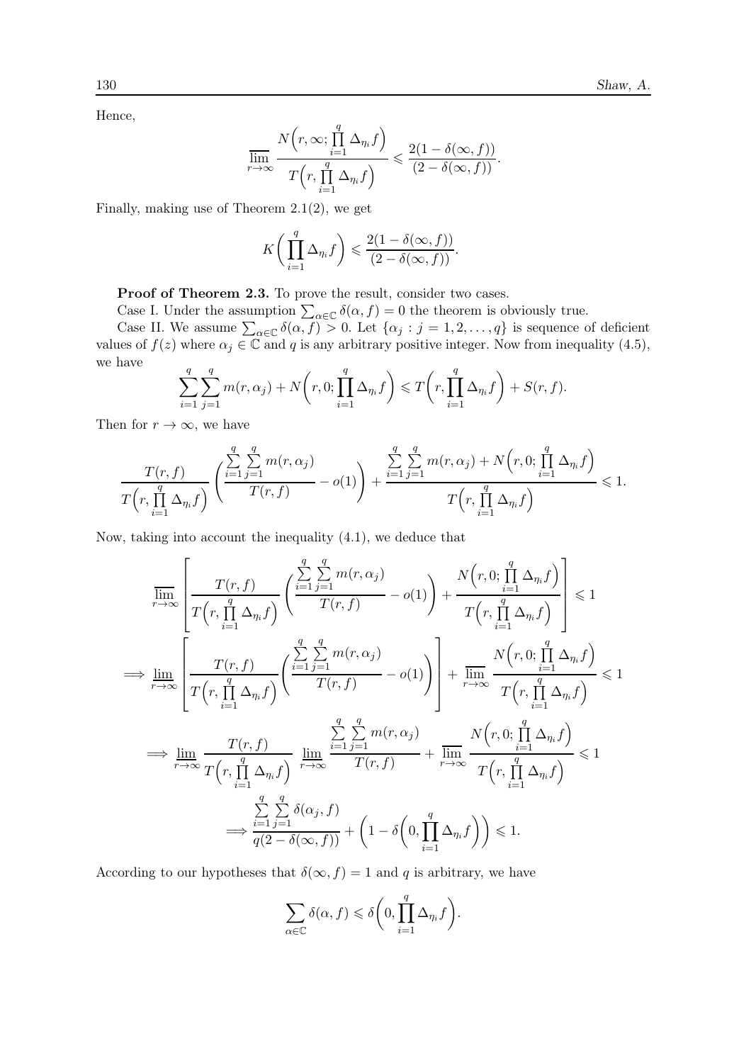Hence,

$$
\overline{\lim}_{r \to \infty} \frac{N(r, \infty; \prod_{i=1}^{q} \Delta_{\eta_i} f)}{T(r, \prod_{i=1}^{q} \Delta_{\eta_i} f)} \leqslant \frac{2(1 - \delta(\infty, f))}{(2 - \delta(\infty, f))}.
$$

Finally, making use of Theorem 2.1(2), we get

$$
K\bigg(\prod_{i=1}^q \Delta_{\eta_i} f\bigg) \leqslant \frac{2(1-\delta(\infty,f))}{(2-\delta(\infty,f))}.
$$

Proof of Theorem 2.3. To prove the result, consider two cases.

Case I. Under the assumption  $\sum_{\alpha \in \mathbb{C}} \delta(\alpha, f) = 0$  the theorem is obviously true.

Case II. We assume  $\sum_{\alpha \in \mathbb{C}} \delta(\alpha, f) > 0$ . Let  $\{\alpha_j : j = 1, 2, ..., q\}$  is sequence of deficient values of  $f(z)$  where  $\alpha_j \in \mathbb{C}$  and q is any arbitrary positive integer. Now from inequality (4.5), we have

$$
\sum_{i=1}^{q} \sum_{j=1}^{q} m(r, \alpha_j) + N\left(r, 0; \prod_{i=1}^{q} \Delta_{\eta_i} f\right) \leq T\left(r, \prod_{i=1}^{q} \Delta_{\eta_i} f\right) + S(r, f).
$$

Then for  $r \to \infty$ , we have

$$
\frac{T(r, f)}{T(r, \prod_{i=1}^{q} \Delta_{\eta_i} f)} \left( \frac{\sum_{i=1}^{q} \sum_{j=1}^{q} m(r, \alpha_j)}{T(r, f)} - o(1) \right) + \frac{\sum_{i=1}^{q} \sum_{j=1}^{q} m(r, \alpha_j) + N(r, 0; \prod_{i=1}^{q} \Delta_{\eta_i} f)}{T(r, \prod_{i=1}^{q} \Delta_{\eta_i} f)} \leq 1.
$$

Now, taking into account the inequality (4.1), we deduce that

$$
\overline{\lim}_{r \to \infty} \left[ \frac{T(r, f)}{T(r, \prod_{i=1}^{q} \Delta_{\eta_i} f)} \left( \frac{\sum_{i=1}^{q} \sum_{j=1}^{q} m(r, \alpha_j)}{T(r, f)} - o(1) \right) + \frac{N(r, 0; \prod_{i=1}^{q} \Delta_{\eta_i} f)}{T(r, \prod_{i=1}^{q} \Delta_{\eta_i} f)} \right] \leq 1
$$
\n
$$
\implies \underline{\lim}_{r \to \infty} \left[ \frac{T(r, f)}{T(r, \prod_{i=1}^{q} \Delta_{\eta_i} f)} \left( \frac{\sum_{i=1}^{q} \sum_{j=1}^{q} m(r, \alpha_j)}{T(r, f)} - o(1) \right) \right] + \overline{\lim}_{r \to \infty} \frac{N(r, 0; \prod_{i=1}^{q} \Delta_{\eta_i} f)}{T(r, \prod_{i=1}^{q} \Delta_{\eta_i} f)} \leq 1
$$
\n
$$
\implies \underline{\lim}_{r \to \infty} \frac{T(r, f)}{T(r, \prod_{i=1}^{q} \Delta_{\eta_i} f)} \underbrace{\lim_{r \to \infty} \frac{\sum_{i=1}^{q} \sum_{j=1}^{q} m(r, \alpha_j)}{T(r, f)} + \overline{\lim}_{r \to \infty} \frac{N(r, 0; \prod_{i=1}^{q} \Delta_{\eta_i} f)}{T(r, \prod_{i=1}^{q} \Delta_{\eta_i} f)} \leq 1
$$
\n
$$
\implies \frac{\sum_{i=1}^{q} \sum_{j=1}^{q} \delta(\alpha_j, f)}{q(2 - \delta(\infty, f))} + \left(1 - \delta\left(0, \prod_{i=1}^{q} \Delta_{\eta_i} f\right)\right) \leq 1.
$$

According to our hypotheses that  $\delta(\infty, f) = 1$  and q is arbitrary, we have

$$
\sum_{\alpha \in \mathbb{C}} \delta(\alpha, f) \leq \delta \bigg( 0, \prod_{i=1}^{q} \Delta_{\eta_i} f \bigg).
$$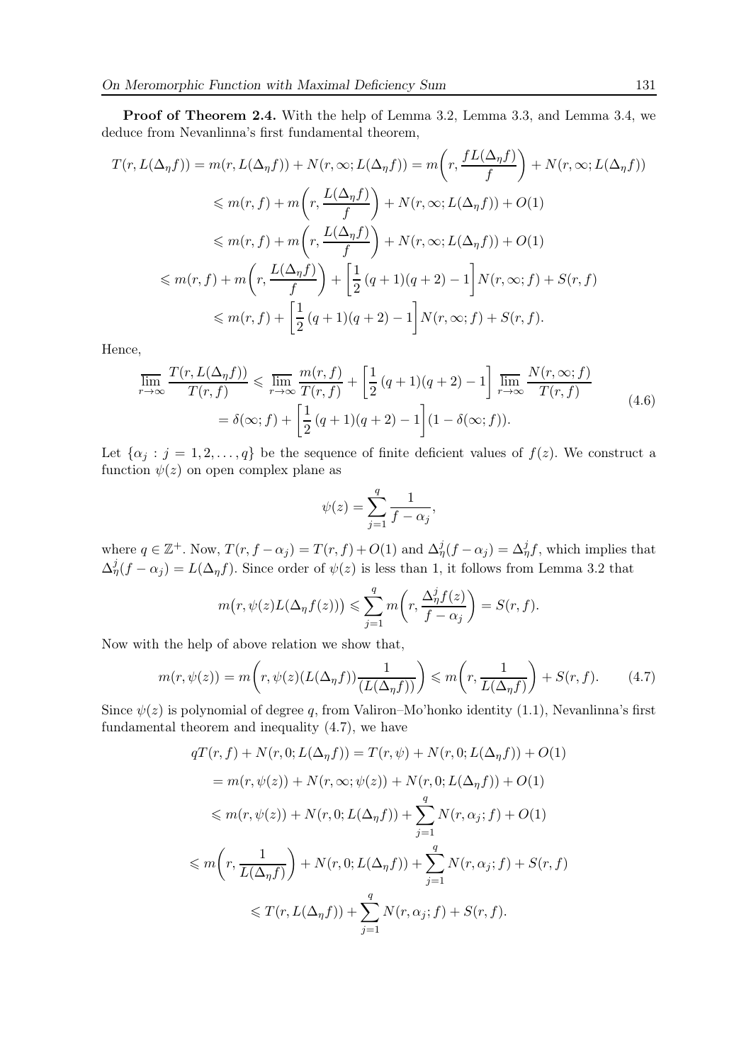Proof of Theorem 2.4. With the help of Lemma 3.2, Lemma 3.3, and Lemma 3.4, we deduce from Nevanlinna's first fundamental theorem,

$$
T(r, L(\Delta_{\eta}f)) = m(r, L(\Delta_{\eta}f)) + N(r, \infty; L(\Delta_{\eta}f)) = m\left(r, \frac{fL(\Delta_{\eta}f)}{f}\right) + N(r, \infty; L(\Delta_{\eta}f))
$$
  
\n
$$
\leq m(r, f) + m\left(r, \frac{L(\Delta_{\eta}f)}{f}\right) + N(r, \infty; L(\Delta_{\eta}f)) + O(1)
$$
  
\n
$$
\leq m(r, f) + m\left(r, \frac{L(\Delta_{\eta}f)}{f}\right) + N(r, \infty; L(\Delta_{\eta}f)) + O(1)
$$
  
\n
$$
\leq m(r, f) + m\left(r, \frac{L(\Delta_{\eta}f)}{f}\right) + \left[\frac{1}{2}(q+1)(q+2) - 1\right]N(r, \infty; f) + S(r, f)
$$
  
\n
$$
\leq m(r, f) + \left[\frac{1}{2}(q+1)(q+2) - 1\right]N(r, \infty; f) + S(r, f).
$$

Hence,

$$
\overline{\lim}_{r \to \infty} \frac{T(r, L(\Delta_{\eta} f))}{T(r, f)} \leq \overline{\lim}_{r \to \infty} \frac{m(r, f)}{T(r, f)} + \left[\frac{1}{2}(q+1)(q+2) - 1\right] \overline{\lim}_{r \to \infty} \frac{N(r, \infty; f)}{T(r, f)}
$$
\n
$$
= \delta(\infty; f) + \left[\frac{1}{2}(q+1)(q+2) - 1\right] (1 - \delta(\infty; f)). \tag{4.6}
$$

Let  $\{\alpha_i : j = 1, 2, \ldots, q\}$  be the sequence of finite deficient values of  $f(z)$ . We construct a function  $\psi(z)$  on open complex plane as

$$
\psi(z) = \sum_{j=1}^{q} \frac{1}{f - \alpha_j},
$$

where  $q \in \mathbb{Z}^+$ . Now,  $T(r, f - \alpha_j) = T(r, f) + O(1)$  and  $\Delta^j_\eta(f - \alpha_j) = \Delta^j_\eta f$ , which implies that  $\Delta_{\eta}^{j}(f-\alpha_{j})=L(\Delta_{\eta}f)$ . Since order of  $\psi(z)$  is less than 1, it follows from Lemma 3.2 that

$$
m(r, \psi(z)L(\Delta_{\eta}f(z))) \leq \sum_{j=1}^{q} m\left(r, \frac{\Delta_{\eta}^{j}f(z)}{f - \alpha_{j}}\right) = S(r, f).
$$

Now with the help of above relation we show that,

$$
m(r, \psi(z)) = m\left(r, \psi(z)(L(\Delta_{\eta}f))\frac{1}{(L(\Delta_{\eta}f))}\right) \le m\left(r, \frac{1}{L(\Delta_{\eta}f)}\right) + S(r, f). \tag{4.7}
$$

Since  $\psi(z)$  is polynomial of degree q, from Valiron–Mo'honko identity (1.1), Nevanlinna's first fundamental theorem and inequality (4.7), we have

$$
qT(r, f) + N(r, 0; L(\Delta_{\eta}f)) = T(r, \psi) + N(r, 0; L(\Delta_{\eta}f)) + O(1)
$$
  
\n
$$
= m(r, \psi(z)) + N(r, \infty; \psi(z)) + N(r, 0; L(\Delta_{\eta}f)) + O(1)
$$
  
\n
$$
\leq m(r, \psi(z)) + N(r, 0; L(\Delta_{\eta}f)) + \sum_{j=1}^{q} N(r, \alpha_j; f) + O(1)
$$
  
\n
$$
\leq m\left(r, \frac{1}{L(\Delta_{\eta}f)}\right) + N(r, 0; L(\Delta_{\eta}f)) + \sum_{j=1}^{q} N(r, \alpha_j; f) + S(r, f)
$$
  
\n
$$
\leq T(r, L(\Delta_{\eta}f)) + \sum_{j=1}^{q} N(r, \alpha_j; f) + S(r, f).
$$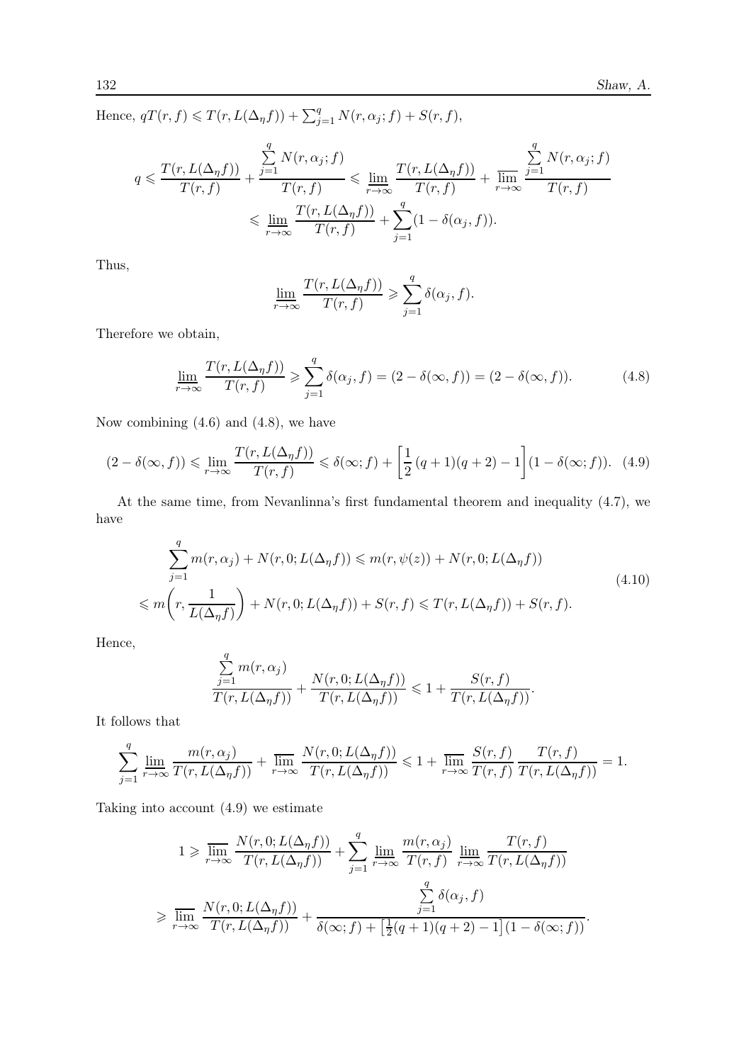Hence,  $qT(r, f) \leq T(r, L(\Delta_{\eta}f)) + \sum_{j=1}^{q} N(r, \alpha_j; f) + S(r, f),$ 

$$
q \leq \frac{T(r, L(\Delta_{\eta}f))}{T(r, f)} + \frac{\sum_{j=1}^{q} N(r, \alpha_j; f)}{T(r, f)} \leq \lim_{r \to \infty} \frac{T(r, L(\Delta_{\eta}f))}{T(r, f)} + \frac{\sum_{j=1}^{q} N(r, \alpha_j; f)}{T(r, f)}
$$

$$
\leq \lim_{r \to \infty} \frac{T(r, L(\Delta_{\eta}f))}{T(r, f)} + \sum_{j=1}^{q} (1 - \delta(\alpha_j, f)).
$$

Thus,

$$
\underline{\lim}_{r \to \infty} \frac{T(r, L(\Delta_{\eta} f))}{T(r, f)} \geqslant \sum_{j=1}^{q} \delta(\alpha_j, f).
$$

Therefore we obtain,

$$
\lim_{r \to \infty} \frac{T(r, L(\Delta_\eta f))}{T(r, f)} \geqslant \sum_{j=1}^q \delta(\alpha_j, f) = (2 - \delta(\infty, f)) = (2 - \delta(\infty, f)). \tag{4.8}
$$

Now combining  $(4.6)$  and  $(4.8)$ , we have

$$
(2 - \delta(\infty, f)) \leq \lim_{r \to \infty} \frac{T(r, L(\Delta_\eta f))}{T(r, f)} \leq \delta(\infty; f) + \left[\frac{1}{2}(q + 1)(q + 2) - 1\right](1 - \delta(\infty; f)). \tag{4.9}
$$

At the same time, from Nevanlinna's first fundamental theorem and inequality (4.7), we have

$$
\sum_{j=1}^{q} m(r, \alpha_j) + N(r, 0; L(\Delta_{\eta} f)) \leq m(r, \psi(z)) + N(r, 0; L(\Delta_{\eta} f))
$$
\n
$$
\leq m\left(r, \frac{1}{L(\Delta_{\eta} f)}\right) + N(r, 0; L(\Delta_{\eta} f)) + S(r, f) \leq T(r, L(\Delta_{\eta} f)) + S(r, f).
$$
\n(4.10)

Hence,

$$
\frac{\sum\limits_{j=1}^q m(r,\alpha_j)}{T(r,L(\Delta_{\eta}f))} + \frac{N(r,0;L(\Delta_{\eta}f))}{T(r,L(\Delta_{\eta}f))} \leq 1 + \frac{S(r,f)}{T(r,L(\Delta_{\eta}f))}.
$$

It follows that

$$
\sum_{j=1}^q \lim_{r \to \infty} \frac{m(r, \alpha_j)}{T(r, L(\Delta_\eta f))} + \lim_{r \to \infty} \frac{N(r, 0; L(\Delta_\eta f))}{T(r, L(\Delta_\eta f))} \leq 1 + \lim_{r \to \infty} \frac{S(r, f)}{T(r, f)} \frac{T(r, f)}{T(r, L(\Delta_\eta f))} = 1.
$$

Taking into account (4.9) we estimate

$$
1 \geq \overline{\lim}_{r \to \infty} \frac{N(r, 0; L(\Delta_{\eta} f))}{T(r, L(\Delta_{\eta} f))} + \sum_{j=1}^{q} \underline{\lim}_{r \to \infty} \frac{m(r, \alpha_{j})}{T(r, f)} \underline{\lim}_{r \to \infty} \frac{T(r, f)}{T(r, L(\Delta_{\eta} f))}
$$
  

$$
\geq \overline{\lim}_{r \to \infty} \frac{N(r, 0; L(\Delta_{\eta} f))}{T(r, L(\Delta_{\eta} f))} + \frac{\sum_{j=1}^{q} \delta(\alpha_{j}, f)}{\delta(\infty; f) + \left[\frac{1}{2}(q+1)(q+2) - 1\right](1 - \delta(\infty; f))}.
$$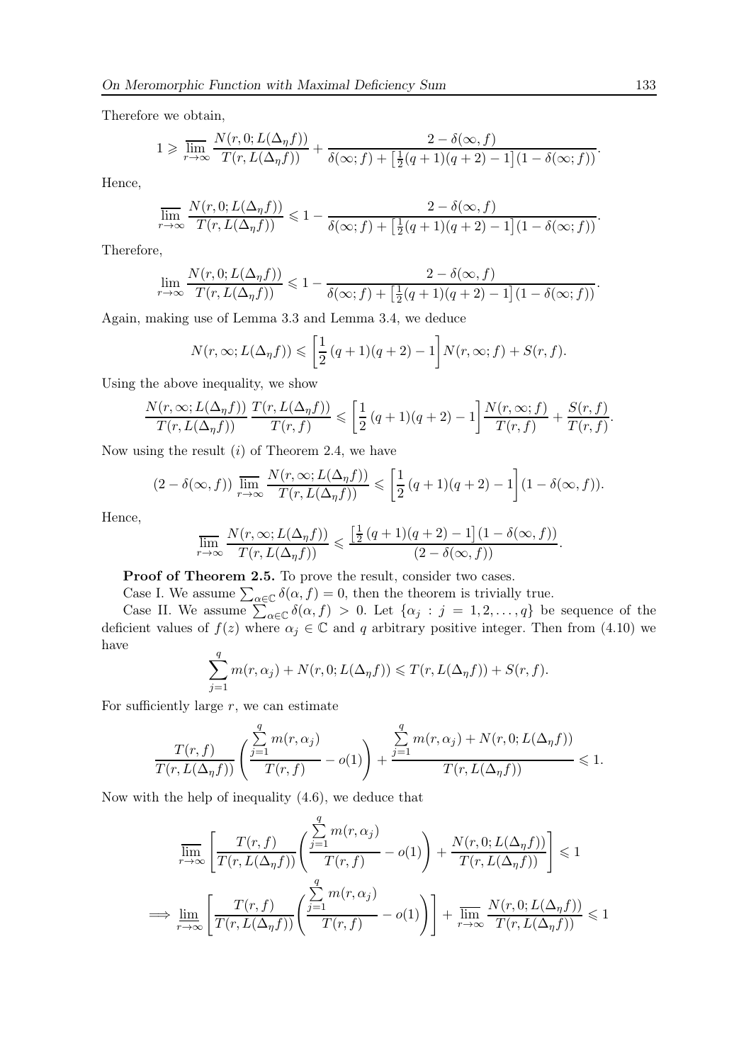Therefore we obtain,

$$
1 \geqslant \overline{\lim}_{r \to \infty} \frac{N(r, 0; L(\Delta_{\eta} f))}{T(r, L(\Delta_{\eta} f))} + \frac{2 - \delta(\infty, f)}{\delta(\infty; f) + \left[\frac{1}{2}(q+1)(q+2) - 1\right](1 - \delta(\infty; f))}.
$$

Hence,

$$
\overline{\lim}_{r \to \infty} \frac{N(r, 0; L(\Delta_{\eta} f))}{T(r, L(\Delta_{\eta} f))} \leq 1 - \frac{2 - \delta(\infty, f)}{\delta(\infty; f) + \left[\frac{1}{2}(q + 1)(q + 2) - 1\right](1 - \delta(\infty; f))}
$$

Therefore,

$$
\lim_{r \to \infty} \frac{N(r, 0; L(\Delta_{\eta} f))}{T(r, L(\Delta_{\eta} f))} \leq 1 - \frac{2 - \delta(\infty, f)}{\delta(\infty; f) + \left[\frac{1}{2}(q+1)(q+2) - 1\right](1 - \delta(\infty; f))}.
$$

Again, making use of Lemma 3.3 and Lemma 3.4, we deduce

$$
N(r,\infty;L(\Delta_\eta f)) \leqslant \left[\frac{1}{2}(q+1)(q+2)-1\right]N(r,\infty;f) + S(r,f).
$$

Using the above inequality, we show

$$
\frac{N(r,\infty;L(\Delta_\eta f))}{T(r,L(\Delta_\eta f))}\frac{T(r,L(\Delta_\eta f))}{T(r,f)} \leqslant \left[\frac{1}{2}\left(q+1\right)(q+2)-1\right]\frac{N(r,\infty;f)}{T(r,f)}+\frac{S(r,f)}{T(r,f)}.
$$

Now using the result  $(i)$  of Theorem 2.4, we have

$$
(2 - \delta(\infty, f)) \overline{\lim}_{r \to \infty} \frac{N(r, \infty; L(\Delta_{\eta} f))}{T(r, L(\Delta_{\eta} f))} \leq \left[ \frac{1}{2} (q + 1)(q + 2) - 1 \right] (1 - \delta(\infty, f)).
$$

Hence,

$$
\overline{\lim}_{r \to \infty} \frac{N(r, \infty; L(\Delta_{\eta} f))}{T(r, L(\Delta_{\eta} f))} \leqslant \frac{\left[\frac{1}{2}(q+1)(q+2) - 1\right](1 - \delta(\infty, f))}{(2 - \delta(\infty, f))}.
$$

Proof of Theorem 2.5. To prove the result, consider two cases.

 $\overline{a}$ 

Case I. We assume  $\sum_{\alpha \in \mathbb{C}} \delta(\alpha, f) = 0$ , then the theorem is trivially true. Case II. We assume  $\sum_{\alpha \in \mathbb{C}} \delta(\alpha, f) > 0$ . Let  $\{\alpha_j : j = 1, 2, ..., q\}$  be sequence of the deficient values of  $f(z)$  where  $\alpha_j \in \mathbb{C}$  and q arbitrary positive integer. Then from (4.10) we have

$$
\sum_{j=1}^q m(r,\alpha_j)+N(r,0;L(\Delta_\eta f))\leqslant T(r,L(\Delta_\eta f))+S(r,f).
$$

For sufficiently large  $r$ , we can estimate

$$
\frac{T(r,f)}{T(r,L(\Delta_{\eta}f))}\left(\frac{\sum\limits_{j=1}^q m(r,\alpha_j)}{T(r,f)}-o(1)\right)+\frac{\sum\limits_{j=1}^q m(r,\alpha_j)+N(r,0;L(\Delta_{\eta}f))}{T(r,L(\Delta_{\eta}f))}\leqslant 1.
$$

Now with the help of inequality (4.6), we deduce that

$$
\overline{\lim}_{r \to \infty} \left[ \frac{T(r, f)}{T(r, L(\Delta_{\eta} f))} \left( \frac{\sum_{j=1}^{N} m(r, \alpha_{j})}{T(r, f)} - o(1) \right) + \frac{N(r, 0; L(\Delta_{\eta} f))}{T(r, L(\Delta_{\eta} f))} \right] \leq 1
$$
\n
$$
\implies \underline{\lim}_{r \to \infty} \left[ \frac{T(r, f)}{T(r, L(\Delta_{\eta} f))} \left( \frac{\sum_{j=1}^{q} m(r, \alpha_{j})}{T(r, f)} - o(1) \right) \right] + \overline{\lim}_{r \to \infty} \frac{N(r, 0; L(\Delta_{\eta} f))}{T(r, L(\Delta_{\eta} f))} \leq 1
$$

.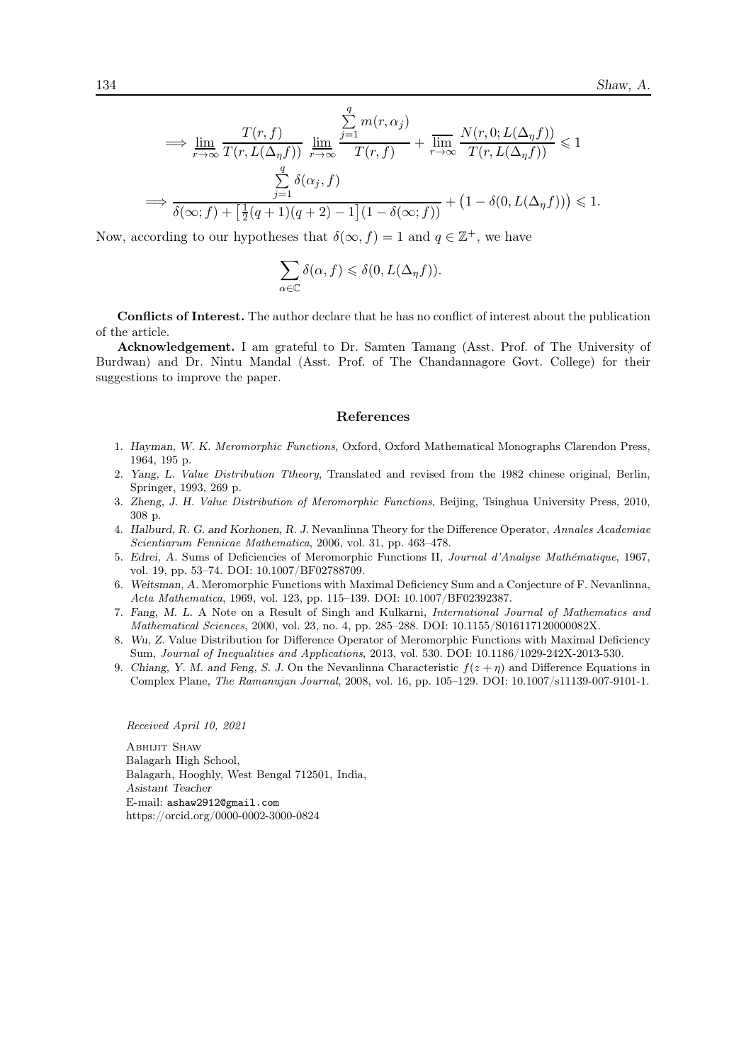$$
\implies \lim_{r \to \infty} \frac{T(r, f)}{T(r, L(\Delta_{\eta} f))} \lim_{r \to \infty} \frac{\sum_{j=1}^{q} m(r, \alpha_{j})}{T(r, f)} + \lim_{r \to \infty} \frac{N(r, 0; L(\Delta_{\eta} f))}{T(r, L(\Delta_{\eta} f))} \leq 1
$$

$$
\implies \frac{\sum_{j=1}^{q} \delta(\alpha_{j}, f)}{\delta(\infty; f) + \left[\frac{1}{2}(q+1)(q+2) - 1\right] (1 - \delta(\infty; f))} + \left(1 - \delta(0, L(\Delta_{\eta} f))\right) \leq 1.
$$

Now, according to our hypotheses that  $\delta(\infty, f) = 1$  and  $q \in \mathbb{Z}^+$ , we have

$$
\sum_{\alpha\in\mathbb{C}}\delta(\alpha,f)\leqslant\delta(0,L(\Delta_\eta f)).
$$

Conflicts of Interest. The author declare that he has no conflict of interest about the publication of the article.

Acknowledgement. I am grateful to Dr. Samten Tamang (Asst. Prof. of The University of Burdwan) and Dr. Nintu Mandal (Asst. Prof. of The Chandannagore Govt. College) for their suggestions to improve the paper.

#### References

- 1. Hayman, W. K. Meromorphic Functions, Oxford, Oxford Mathematical Monographs Clarendon Press, 1964, 195 p.
- 2. Yang, L. Value Distribution Ttheory, Translated and revised from the 1982 chinese original, Berlin, Springer, 1993, 269 p.
- 3. Zheng, J. H. Value Distribution of Meromorphic Functions, Beijing, Tsinghua University Press, 2010, 308 p.
- 4. Halburd, R. G. and Korhonen, R. J. Nevanlinna Theory for the Difference Operator, Annales Academiae Scientiarum Fennicae Mathematica, 2006, vol. 31, pp. 463–478.
- 5. Edrei, A. Sums of Deficiencies of Meromorphic Functions II, Journal d'Analyse Mathématique, 1967, vol. 19, pp. 53–74. DOI: 10.1007/BF02788709.
- 6. Weitsman, A. Meromorphic Functions with Maximal Deficiency Sum and a Conjecture of F. Nevanlinna, Acta Mathematica, 1969, vol. 123, pp. 115–139. DOI: 10.1007/BF02392387.
- 7. Fang, M. L. A Note on a Result of Singh and Kulkarni, International Journal of Mathematics and Mathematical Sciences, 2000, vol. 23, no. 4, pp. 285–288. DOI: 10.1155/S016117120000082X.
- 8. Wu, Z. Value Distribution for Difference Operator of Meromorphic Functions with Maximal Deficiency Sum, Journal of Inequalities and Applications, 2013, vol. 530. DOI: 10.1186/1029-242X-2013-530.
- 9. Chiang, Y. M. and Feng, S. J. On the Nevanlinna Characteristic  $f(z + \eta)$  and Difference Equations in Complex Plane, The Ramanujan Journal, 2008, vol. 16, pp. 105–129. DOI: 10.1007/s11139-007-9101-1.

#### Received April 10, 2021

Abhijit Shaw Balagarh High School, Balagarh, Hooghly, West Bengal 712501, India, Asistant Teacher E-mail: ashaw2912@gmail.com https://orcid.org/0000-0002-3000-0824